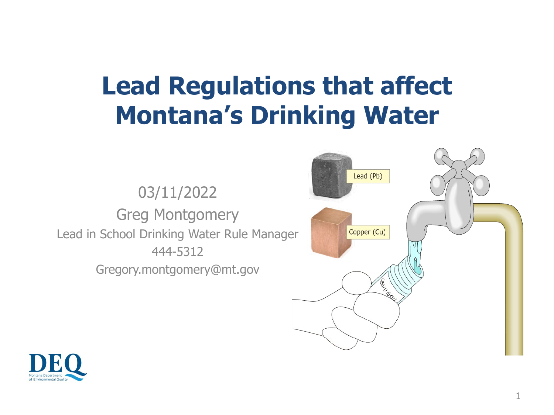# **Lead Regulations that affect Montana's Drinking Water**

03/11/2022 Greg Montgomery Lead in School Drinking Water Rule Manager 444-5312 Gregory.montgomery@mt.gov



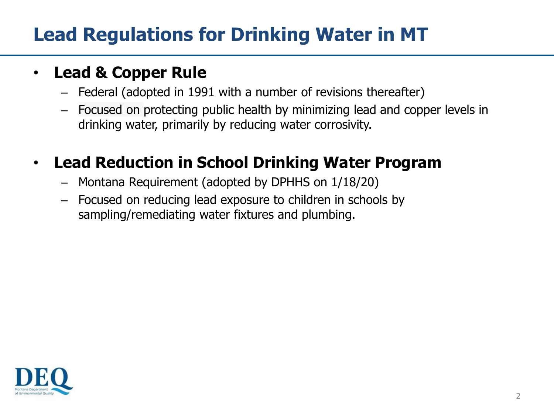### **Lead Regulations for Drinking Water in MT**

#### • **Lead & Copper Rule**

- Federal (adopted in 1991 with a number of revisions thereafter)
- Focused on protecting public health by minimizing lead and copper levels in drinking water, primarily by reducing water corrosivity.

#### • **Lead Reduction in School Drinking Water Program**

- Montana Requirement (adopted by DPHHS on 1/18/20)
- Focused on reducing lead exposure to children in schools by sampling/remediating water fixtures and plumbing.

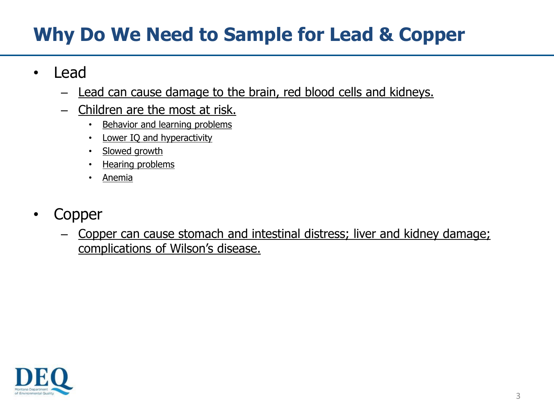### **Why Do We Need to Sample for Lead & Copper**

- Lead
	- Lead can cause damage to the brain, red blood cells and kidneys.
	- Children are the most at risk.
		- Behavior and learning problems
		- Lower IQ and hyperactivity
		- Slowed growth
		- Hearing problems
		- Anemia
- Copper
	- Copper can cause stomach and intestinal distress; liver and kidney damage; complications of Wilson's disease.

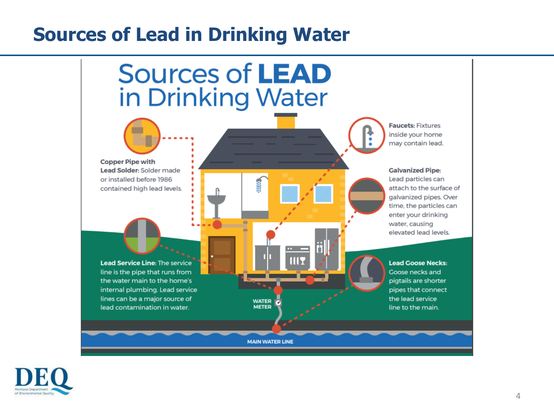#### **Sources of Lead in Drinking Water**



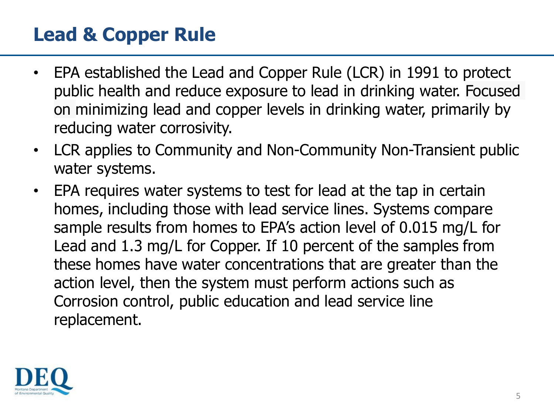#### **Lead & Copper Rule**

- EPA established the Lead and Copper Rule (LCR) in 1991 to protect public health and reduce exposure to lead in drinking water. Focused on minimizing lead and copper levels in drinking water, primarily by reducing water corrosivity.
- LCR applies to Community and Non-Community Non-Transient public water systems.
- EPA requires water systems to test for lead at the tap in certain homes, including those with lead service lines. Systems compare sample results from homes to EPA's action level of 0.015 mg/L for Lead and 1.3 mg/L for Copper. If 10 percent of the samples from these homes have water concentrations that are greater than the action level, then the system must perform actions such as Corrosion control, public education and lead service line replacement.

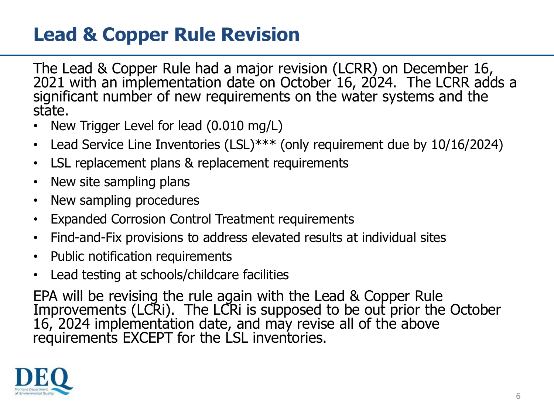### **Lead & Copper Rule Revision**

The Lead & Copper Rule had a major revision (LCRR) on December 16, 2021 with an implementation date on October 16, 2024. The LCRR adds a significant number of new requirements on the water systems and the state.

- New Trigger Level for lead (0.010 mg/L)
- Lead Service Line Inventories (LSL)\*\*\* (only requirement due by 10/16/2024)
- LSL replacement plans & replacement requirements
- New site sampling plans
- New sampling procedures
- Expanded Corrosion Control Treatment requirements
- Find-and-Fix provisions to address elevated results at individual sites
- Public notification requirements
- Lead testing at schools/childcare facilities

EPA will be revising the rule again with the Lead & Copper Rule Improvements (LCRI). The LCRI is supposed to be out prior the October 16, 2024 implementation date, and may revise all of the above requirements EXCEPT for the LSL inventories.

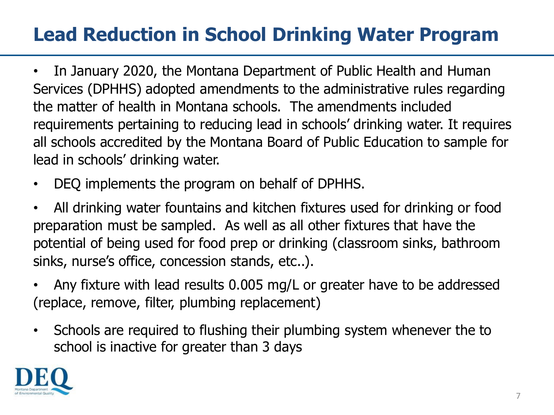## **Lead Reduction in School Drinking Water Program**

- In January 2020, the Montana Department of Public Health and Human Services (DPHHS) adopted amendments to the administrative rules regarding the matter of health in Montana schools. The amendments included requirements pertaining to reducing lead in schools' drinking water. It requires all schools accredited by the Montana Board of Public Education to sample for lead in schools' drinking water.
- DEQ implements the program on behalf of DPHHS.
- All drinking water fountains and kitchen fixtures used for drinking or food preparation must be sampled. As well as all other fixtures that have the potential of being used for food prep or drinking (classroom sinks, bathroom sinks, nurse's office, concession stands, etc..).
- Any fixture with lead results 0.005 mg/L or greater have to be addressed (replace, remove, filter, plumbing replacement)
- Schools are required to flushing their plumbing system whenever the to school is inactive for greater than 3 days